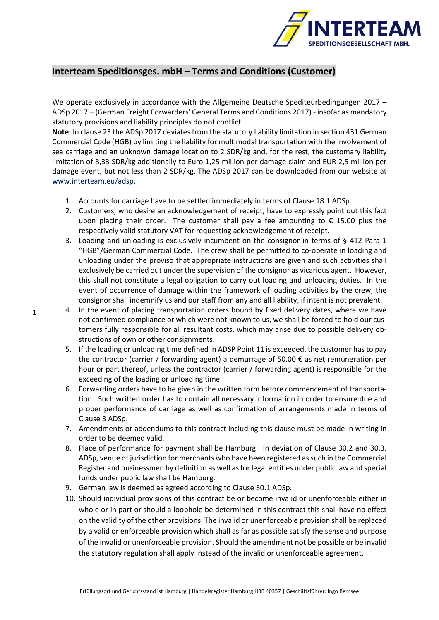

## **Interteam Speditionsges. mbH – Terms and Conditions (Customer)**

We operate exclusively in accordance with the Allgemeine Deutsche Spediteurbedingungen 2017 – ADSp 2017 – (German Freight Forwarders' General Terms and Conditions 2017) - insofar as mandatory statutory provisions and liability principles do not conflict.

**Note:** In clause 23 the ADSp 2017 deviates from the statutory liability limitation in section 431 German Commercial Code (HGB) by limiting the liability for multimodal transportation with the involvement of sea carriage and an unknown damage location to 2 SDR/kg and, for the rest, the customary liability limitation of 8,33 SDR/kg additionally to Euro 1,25 million per damage claim and EUR 2,5 million per damage event, but not less than 2 SDR/kg. The ADSp 2017 can be downloaded from our website at www.interteam.eu/adsp.

- 1. Accounts for carriage have to be settled immediately in terms of Clause 18.1 ADSp.
- 2. Customers, who desire an acknowledgement of receipt, have to expressly point out this fact upon placing their order. The customer shall pay a fee amounting to  $\epsilon$  15.00 plus the respectively valid statutory VAT for requesting acknowledgement of receipt.
- 3. Loading and unloading is exclusively incumbent on the consignor in terms of § 412 Para 1 "HGB"/German Commercial Code. The crew shall be permitted to co-operate in loading and unloading under the proviso that appropriate instructions are given and such activities shall exclusively be carried out under the supervision of the consignor as vicarious agent. However, this shall not constitute a legal obligation to carry out loading and unloading duties. In the event of occurrence of damage within the framework of loading activities by the crew, the consignor shall indemnify us and our staff from any and all liability, if intent is not prevalent.
- 4. In the event of placing transportation orders bound by fixed delivery dates, where we have not confirmed compliance or which were not known to us, we shall be forced to hold our customers fully responsible for all resultant costs, which may arise due to possible delivery obstructions of own or other consignments.
- 5. If the loading or unloading time defined in ADSP Point 11 is exceeded, the customer has to pay the contractor (carrier / forwarding agent) a demurrage of 50,00 € as net remuneration per hour or part thereof, unless the contractor (carrier / forwarding agent) is responsible for the exceeding of the loading or unloading time.
- 6. Forwarding orders have to be given in the written form before commencement of transportation. Such written order has to contain all necessary information in order to ensure due and proper performance of carriage as well as confirmation of arrangements made in terms of Clause 3 ADSp.
- 7. Amendments or addendums to this contract including this clause must be made in writing in order to be deemed valid.
- 8. Place of performance for payment shall be Hamburg. In deviation of Clause 30.2 and 30.3, ADSp, venue of jurisdiction for merchants who have been registered as such in the Commercial Register and businessmen by definition as well as for legal entities under public law and special funds under public law shall be Hamburg.
- 9. German law is deemed as agreed according to Clause 30.1 ADSp.
- 10. Should individual provisions of this contract be or become invalid or unenforceable either in whole or in part or should a loophole be determined in this contract this shall have no effect on the validity of the other provisions. The invalid or unenforceable provision shall be replaced by a valid or enforceable provision which shall as far as possible satisfy the sense and purpose of the invalid or unenforceable provision. Should the amendment not be possible or be invalid the statutory regulation shall apply instead of the invalid or unenforceable agreement.

1